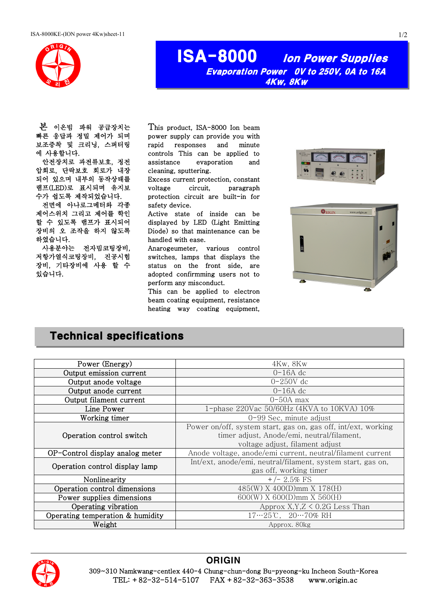

# ISA-8000 Ion Power Supplies Evaporation Power 0V to 250V, 0A to 16A 4Kw, 8Kw

 본 이온빔 파워 공급장치는 빠른 응답과 정밀 제어가 되며 보조증착 및 크리닝, 스퍼터링 에 사용합니다.

안전장치로 과전류보호, 정전 압회로, 단락보호 회로가 내장 되어 있으며 내부의 동작상태를 램프(LED)로 표시되며 유지보 수가 쉽도록 제작되었습니다.

전면에 아나로그메터와 각종 제어스위치 그리고 제어를 학인 할 수 있도록 램프가 표시되어 장비의 오 조작을 하지 않도록 하였습니다.

사용분야는 전자빔코팅장비, 저항가열식코팅장비, 진공시험 장비, 기타장비에 사용 할 수 있습니다.

This product, ISA-8000 Ion beam power supply can provide you with rapid responses and minute controls This can be applied to assistance evaporation and cleaning, sputtering.

Excess current protection, constant voltage circuit, paragraph protection circuit are built-in for safety device.

Active state of inside can be displayed by LED (Light Emitting Diode) so that maintenance can be handled with ease.

Anarogeumeter, various control switches, lamps that displays the status on the front side, are adopted confirmming users not to perform any misconduct.

This can be applied to electron beam coating equipment, resistance heating way coating equipment,





## Technical specifications

| Power (Energy)                   | $4Kw$ , $8Kw$                                                                                                                                  |  |  |
|----------------------------------|------------------------------------------------------------------------------------------------------------------------------------------------|--|--|
| Output emission current          | $0-16A$ dc                                                                                                                                     |  |  |
| Output anode voltage             | $0-250V$ dc                                                                                                                                    |  |  |
| Output anode current             | $0-16A$ dc                                                                                                                                     |  |  |
| Output filament current          | $0-50A$ max                                                                                                                                    |  |  |
| Line Power                       | 1-phase 220Vac 50/60Hz (4KVA to 10KVA) 10%                                                                                                     |  |  |
| Working timer                    | $0-99$ Sec, minute adjust                                                                                                                      |  |  |
| Operation control switch         | Power on/off, system start, gas on, gas off, int/ext, working<br>timer adjust, Anode/emi, neutral/filament,<br>voltage adjust, filament adjust |  |  |
| OP-Control display analog meter  | Anode voltage, anode/emi current, neutral/filament current                                                                                     |  |  |
| Operation control display lamp   | Int/ext, anode/emi, neutral/filament, system start, gas on,<br>gas off, working timer                                                          |  |  |
| Nonlinearity                     | $+/- 2.5\%$ FS                                                                                                                                 |  |  |
| Operation control dimensions     | 485(W) X 400(D)mm X 178(H)                                                                                                                     |  |  |
| Power supplies dimensions        | $600(W)$ X $600(D)$ mm X $560(H)$                                                                                                              |  |  |
| Operating vibration              | Approx $X, Y, Z \leq 0.2G$ Less Than                                                                                                           |  |  |
| Operating temperation & humidity | $17 \cdots 25$ °C, $20 \cdots 70\%$ RH                                                                                                         |  |  |
| Weight                           | Approx, 80kg                                                                                                                                   |  |  |



#### **ORIGIN**